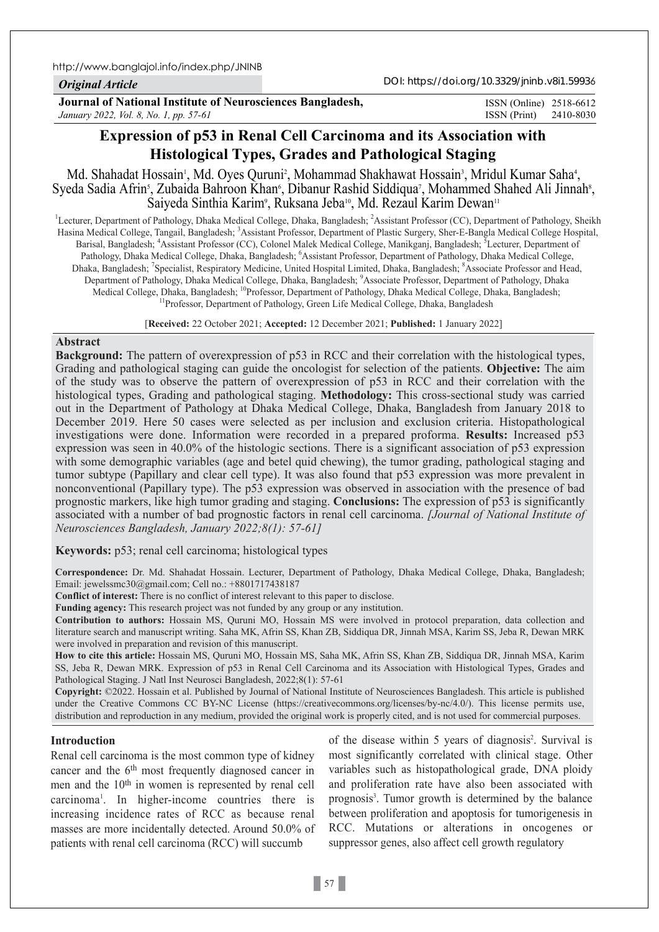http://www.banglajol.info/index.php/JNINB

### *Original Article*

DOI: https://doi.org/10.3329/jninb.v8i1.59936

**Journal of National Institute of Neurosciences Bangladesh,** *January 2022, Vol. 8, No. 1, pp. 57-61*

ISSN (Print) 2410-8030 ISSN (Online) 2518-6612

# **Expression of p53 in Renal Cell Carcinoma and its Association with Histological Types, Grades and Pathological Staging**

Md. Shahadat Hossain<sup>,</sup>, Md. Oyes Quruni<sup>2</sup>, Mohammad Shakhawat Hossain<sup>3</sup>, Mridul Kumar Saha<sup>4</sup>, Syeda Sadia Afrin<sup>s</sup>, Zubaida Bahroon Khan<sup>6</sup>, Dibanur Rashid Siddiqua<sup>7</sup>, Mohammed Shahed Ali Jinnah<sup>8</sup>, Saiyeda Sinthia Karim<sup>9</sup>, Ruksana Jeba<sup>10</sup>, Md. Rezaul Karim Dewan<sup>11</sup>

<sup>1</sup>Lecturer, Department of Pathology, Dhaka Medical College, Dhaka, Bangladesh; <sup>2</sup>Assistant Professor (CC), Department of Pathology, Sheikh Hasina Medical College, Tangail, Bangladesh; <sup>3</sup>Assistant Professor, Department of Plastic Surgery, Sher-E-Bangla Medical College Hospital, Barisal, Bangladesh; <sup>4</sup>Assistant Professor (CC), Colonel Malek Medical College, Manikganj, Bangladesh; <sup>5</sup>Lecturer, Department of Pathology, Dhaka Medical College, Dhaka, Bangladesh; <sup>6</sup>Assistant Professor, Department of Pathology, Dhaka Medical College, Dhaka, Bangladesh; <sup>7</sup>Specialist, Respiratory Medicine, United Hospital Limited, Dhaka, Bangladesh; <sup>8</sup>Associate Professor and Head, Department of Pathology, Dhaka Medical College, Dhaka, Bangladesh; <sup>9</sup>Associate Professor, Department of Pathology, Dhaka Medical College, Dhaka, Bangladesh; <sup>10</sup>Professor, Department of Pathology, Dhaka Medical College, Dhaka, Bangladesh; <sup>11</sup>Professor, Department of Pathology, Green Life Medical College, Dhaka, Bangladesh

[**Received:** 22 October 2021; **Accepted:** 12 December 2021; **Published:** 1 January 2022]

## **Abstract**

**Background:** The pattern of overexpression of p53 in RCC and their correlation with the histological types, Grading and pathological staging can guide the oncologist for selection of the patients. **Objective:** The aim of the study was to observe the pattern of overexpression of p53 in RCC and their correlation with the histological types, Grading and pathological staging. **Methodology:** This cross-sectional study was carried out in the Department of Pathology at Dhaka Medical College, Dhaka, Bangladesh from January 2018 to December 2019. Here 50 cases were selected as per inclusion and exclusion criteria. Histopathological investigations were done. Information were recorded in a prepared proforma. **Results:** Increased p53 expression was seen in 40.0% of the histologic sections. There is a significant association of p53 expression with some demographic variables (age and betel quid chewing), the tumor grading, pathological staging and tumor subtype (Papillary and clear cell type). It was also found that p53 expression was more prevalent in nonconventional (Papillary type). The p53 expression was observed in association with the presence of bad prognostic markers, like high tumor grading and staging. **Conclusions:** The expression of p53 is significantly associated with a number of bad prognostic factors in renal cell carcinoma. *[Journal of National Institute of Neurosciences Bangladesh, January 2022;8(1): 57-61]*

## **Keywords:** p53; renal cell carcinoma; histological types

**Correspondence:** Dr. Md. Shahadat Hossain. Lecturer, Department of Pathology, Dhaka Medical College, Dhaka, Bangladesh; Email: jewelssmc30@gmail.com; Cell no.: +8801717438187

**Conflict of interest:** There is no conflict of interest relevant to this paper to disclose.

**Funding agency:** This research project was not funded by any group or any institution.

**Contribution to authors:** Hossain MS, Quruni MO, Hossain MS were involved in protocol preparation, data collection and literature search and manuscript writing. Saha MK, Afrin SS, Khan ZB, Siddiqua DR, Jinnah MSA, Karim SS, Jeba R, Dewan MRK were involved in preparation and revision of this manuscript.

**How to cite this article:** Hossain MS, Quruni MO, Hossain MS, Saha MK, Afrin SS, Khan ZB, Siddiqua DR, Jinnah MSA, Karim SS, Jeba R, Dewan MRK. Expression of p53 in Renal Cell Carcinoma and its Association with Histological Types, Grades and Pathological Staging. J Natl Inst Neurosci Bangladesh, 2022;8(1): 57-61

**Copyright:** ©2022. Hossain et al. Published by Journal of National Institute of Neurosciences Bangladesh. This article is published under the Creative Commons CC BY-NC License (https://creativecommons.org/licenses/by-nc/4.0/). This license permits use, distribution and reproduction in any medium, provided the original work is properly cited, and is not used for commercial purposes.

## **Introduction**

Renal cell carcinoma is the most common type of kidney cancer and the 6th most frequently diagnosed cancer in men and the 10th in women is represented by renal cell carcinoma1 . In higher-income countries there is increasing incidence rates of RCC as because renal masses are more incidentally detected. Around 50.0% of patients with renal cell carcinoma (RCC) will succumb

of the disease within 5 years of diagnosis<sup>2</sup>. Survival is most significantly correlated with clinical stage. Other variables such as histopathological grade, DNA ploidy and proliferation rate have also been associated with prognosis<sup>3</sup>. Tumor growth is determined by the balance between proliferation and apoptosis for tumorigenesis in RCC. Mutations or alterations in oncogenes or suppressor genes, also affect cell growth regulatory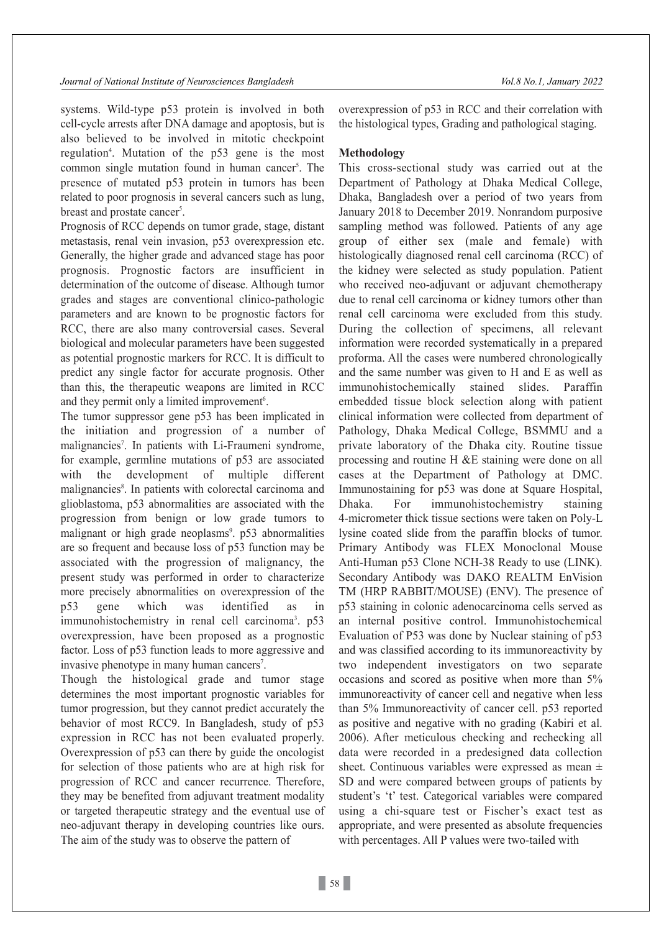systems. Wild-type p53 protein is involved in both cell-cycle arrests after DNA damage and apoptosis, but is also believed to be involved in mitotic checkpoint regulation<sup>4</sup>. Mutation of the p53 gene is the most common single mutation found in human cancer<sup>5</sup>. The presence of mutated p53 protein in tumors has been related to poor prognosis in several cancers such as lung, breast and prostate cancer<sup>5</sup>.

Prognosis of RCC depends on tumor grade, stage, distant metastasis, renal vein invasion, p53 overexpression etc. Generally, the higher grade and advanced stage has poor prognosis. Prognostic factors are insufficient in determination of the outcome of disease. Although tumor grades and stages are conventional clinico-pathologic parameters and are known to be prognostic factors for RCC, there are also many controversial cases. Several biological and molecular parameters have been suggested as potential prognostic markers for RCC. It is difficult to predict any single factor for accurate prognosis. Other than this, the therapeutic weapons are limited in RCC and they permit only a limited improvement<sup>6</sup>.

The tumor suppressor gene p53 has been implicated in the initiation and progression of a number of malignancies<sup>7</sup>. In patients with Li-Fraumeni syndrome, for example, germline mutations of p53 are associated with the development of multiple different malignancies<sup>8</sup>. In patients with colorectal carcinoma and glioblastoma, p53 abnormalities are associated with the progression from benign or low grade tumors to malignant or high grade neoplasms<sup>9</sup>. p53 abnormalities are so frequent and because loss of p53 function may be associated with the progression of malignancy, the present study was performed in order to characterize more precisely abnormalities on overexpression of the p53 gene which was identified as in immunohistochemistry in renal cell carcinoma<sup>3</sup>. p53 overexpression, have been proposed as a prognostic factor. Loss of p53 function leads to more aggressive and invasive phenotype in many human cancers<sup>7</sup>.

Though the histological grade and tumor stage determines the most important prognostic variables for tumor progression, but they cannot predict accurately the behavior of most RCC9. In Bangladesh, study of p53 expression in RCC has not been evaluated properly. Overexpression of p53 can there by guide the oncologist for selection of those patients who are at high risk for progression of RCC and cancer recurrence. Therefore, they may be benefited from adjuvant treatment modality or targeted therapeutic strategy and the eventual use of neo-adjuvant therapy in developing countries like ours. The aim of the study was to observe the pattern of

overexpression of p53 in RCC and their correlation with the histological types, Grading and pathological staging.

### **Methodology**

This cross-sectional study was carried out at the Department of Pathology at Dhaka Medical College, Dhaka, Bangladesh over a period of two years from January 2018 to December 2019. Nonrandom purposive sampling method was followed. Patients of any age group of either sex (male and female) with histologically diagnosed renal cell carcinoma (RCC) of the kidney were selected as study population. Patient who received neo-adjuvant or adjuvant chemotherapy due to renal cell carcinoma or kidney tumors other than renal cell carcinoma were excluded from this study. During the collection of specimens, all relevant information were recorded systematically in a prepared proforma. All the cases were numbered chronologically and the same number was given to H and E as well as immunohistochemically stained slides. Paraffin embedded tissue block selection along with patient clinical information were collected from department of Pathology, Dhaka Medical College, BSMMU and a private laboratory of the Dhaka city. Routine tissue processing and routine H &E staining were done on all cases at the Department of Pathology at DMC. Immunostaining for p53 was done at Square Hospital, Dhaka. For immunohistochemistry staining 4-micrometer thick tissue sections were taken on Poly-L lysine coated slide from the paraffin blocks of tumor. Primary Antibody was FLEX Monoclonal Mouse Anti-Human p53 Clone NCH-38 Ready to use (LINK). Secondary Antibody was DAKO REALTM EnVision TM (HRP RABBIT/MOUSE) (ENV). The presence of p53 staining in colonic adenocarcinoma cells served as an internal positive control. Immunohistochemical Evaluation of P53 was done by Nuclear staining of p53 and was classified according to its immunoreactivity by two independent investigators on two separate occasions and scored as positive when more than 5% immunoreactivity of cancer cell and negative when less than 5% Immunoreactivity of cancer cell. p53 reported as positive and negative with no grading (Kabiri et al. 2006). After meticulous checking and rechecking all data were recorded in a predesigned data collection sheet. Continuous variables were expressed as mean ± SD and were compared between groups of patients by student's 't' test. Categorical variables were compared using a chi-square test or Fischer's exact test as appropriate, and were presented as absolute frequencies with percentages. All P values were two-tailed with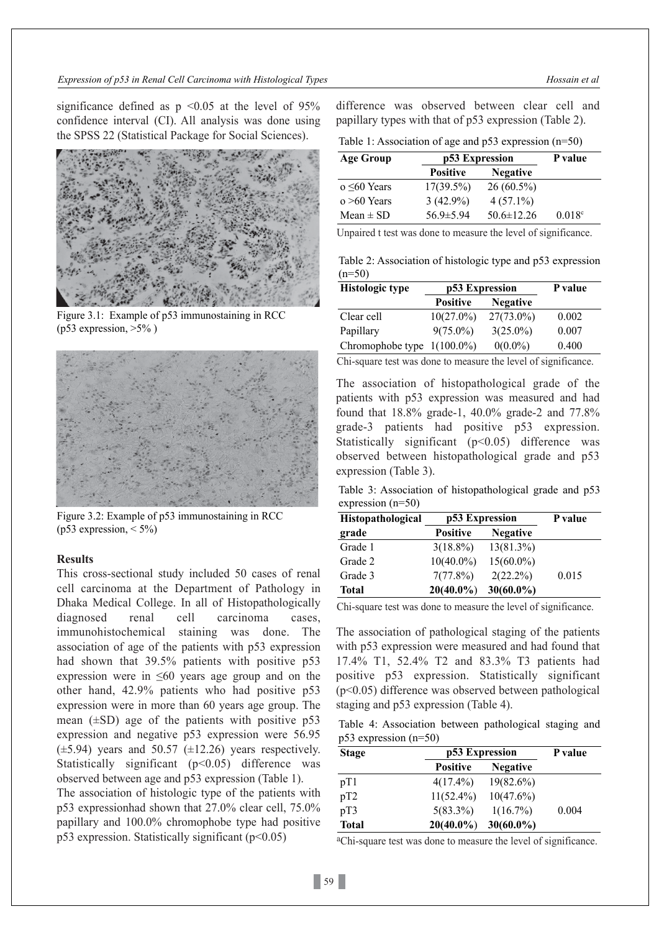significance defined as  $p \le 0.05$  at the level of 95% confidence interval (CI). All analysis was done using the SPSS 22 (Statistical Package for Social Sciences).



Figure 3.1: Example of p53 immunostaining in RCC  $(p53$  expression,  $>5\%$ )



Figure 3.2: Example of p53 immunostaining in RCC (p53 expression,  $\leq$  5%)

## **Results**

This cross-sectional study included 50 cases of renal cell carcinoma at the Department of Pathology in Dhaka Medical College. In all of Histopathologically diagnosed renal cell carcinoma cases, immunohistochemical staining was done. The association of age of the patients with p53 expression had shown that 39.5% patients with positive p53 expression were in  $\leq 60$  years age group and on the other hand, 42.9% patients who had positive p53 expression were in more than 60 years age group. The mean  $(\pm SD)$  age of the patients with positive p53 expression and negative p53 expression were 56.95  $(\pm 5.94)$  years and 50.57  $(\pm 12.26)$  years respectively. Statistically significant  $(p<0.05)$  difference was observed between age and p53 expression (Table 1). The association of histologic type of the patients with p53 expressionhad shown that 27.0% clear cell, 75.0% papillary and 100.0% chromophobe type had positive p53 expression. Statistically significant  $(p<0.05)$ 

difference was observed between clear cell and papillary types with that of p53 expression (Table 2).

| p53 Expression  |                  | P value         |
|-----------------|------------------|-----------------|
| <b>Positive</b> | <b>Negative</b>  |                 |
| $17(39.5\%)$    | $26(60.5\%)$     |                 |
| $3(42.9\%)$     | $4(57.1\%)$      |                 |
| $56.9 \pm 5.94$ | $50.6 \pm 12.26$ | $0.018^{\circ}$ |
|                 |                  |                 |

Unpaired t test was done to measure the level of significance.

Table 2: Association of histologic type and p53 expression  $(n=50)$ 

| <b>Histologic type</b>        | p53 Expression  | P value         |       |
|-------------------------------|-----------------|-----------------|-------|
|                               | <b>Positive</b> | <b>Negative</b> |       |
| Clear cell                    | $10(27.0\%)$    | $27(73.0\%)$    | 0.002 |
| Papillary                     | $9(75.0\%)$     | $3(25.0\%)$     | 0.007 |
| Chromophobe type $1(100.0\%)$ |                 | $0(0.0\%)$      | 0.400 |

Chi-square test was done to measure the level of significance.

The association of histopathological grade of the patients with p53 expression was measured and had found that 18.8% grade-1, 40.0% grade-2 and 77.8% grade-3 patients had positive p53 expression. Statistically significant (p<0.05) difference was observed between histopathological grade and p53 expression (Table 3).

Table 3: Association of histopathological grade and p53 expression (n=50)

| Histopathological | p53 Expression  |                 | P value |
|-------------------|-----------------|-----------------|---------|
| grade             | <b>Positive</b> | <b>Negative</b> |         |
| Grade 1           | $3(18.8\%)$     | 13(81.3%)       |         |
| Grade 2           | $10(40.0\%)$    | $15(60.0\%)$    |         |
| Grade 3           | 7(77.8%)        | $2(22.2\%)$     | 0.015   |
| Total             | $20(40.0\%)$    | $30(60.0\%)$    |         |

Chi-square test was done to measure the level of significance.

The association of pathological staging of the patients with p53 expression were measured and had found that 17.4% T1, 52.4% T2 and 83.3% T3 patients had positive p53 expression. Statistically significant (p<0.05) difference was observed between pathological staging and p53 expression (Table 4).

Table 4: Association between pathological staging and p53 expression (n=50)

| <b>Stage</b> | p53 Expression  |                 | P value |
|--------------|-----------------|-----------------|---------|
|              | <b>Positive</b> | <b>Negative</b> |         |
| pT1          | $4(17.4\%)$     | $19(82.6\%)$    |         |
| pT2          | $11(52.4\%)$    | $10(47.6\%)$    |         |
| pT3          | $5(83.3\%)$     | $1(16.7\%)$     | 0.004   |
| <b>Total</b> | $20(40.0\%)$    | $30(60.0\%)$    |         |

aChi-square test was done to measure the level of significance.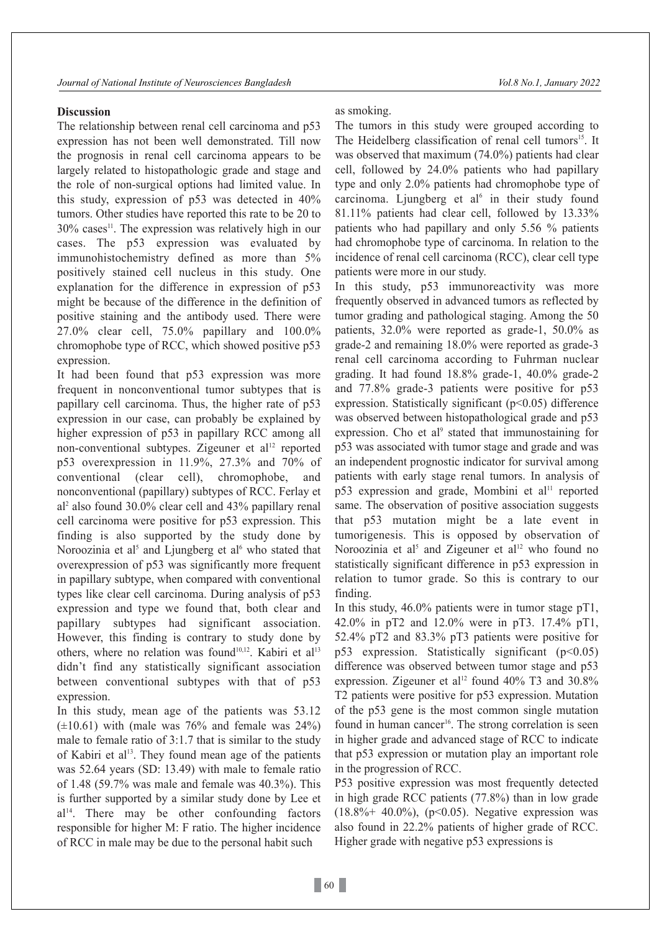### **Discussion**

The relationship between renal cell carcinoma and p53 expression has not been well demonstrated. Till now the prognosis in renal cell carcinoma appears to be largely related to histopathologic grade and stage and the role of non-surgical options had limited value. In this study, expression of p53 was detected in 40% tumors. Other studies have reported this rate to be 20 to  $30\%$  cases<sup>11</sup>. The expression was relatively high in our cases. The p53 expression was evaluated by immunohistochemistry defined as more than 5% positively stained cell nucleus in this study. One explanation for the difference in expression of p53 might be because of the difference in the definition of positive staining and the antibody used. There were 27.0% clear cell, 75.0% papillary and 100.0% chromophobe type of RCC, which showed positive p53 expression.

It had been found that p53 expression was more frequent in nonconventional tumor subtypes that is papillary cell carcinoma. Thus, the higher rate of p53 expression in our case, can probably be explained by higher expression of p53 in papillary RCC among all non-conventional subtypes. Zigeuner et al 12 reported p53 overexpression in 11.9%, 27.3% and 70% of conventional (clear cell), chromophobe, and nonconventional (papillary) subtypes of RCC. Ferlay et al 2 also found 30.0% clear cell and 43% papillary renal cell carcinoma were positive for p53 expression. This finding is also supported by the study done by Noroozinia et al<sup>5</sup> and Ljungberg et al<sup>6</sup> who stated that overexpression of p53 was significantly more frequent in papillary subtype, when compared with conventional types like clear cell carcinoma. During analysis of p53 expression and type we found that, both clear and papillary subtypes had significant association. However, this finding is contrary to study done by others, where no relation was found<sup>10,12</sup>. Kabiri et al<sup>13</sup> didn't find any statistically significant association between conventional subtypes with that of p53 expression.

In this study, mean age of the patients was 53.12  $(\pm 10.61)$  with (male was 76% and female was 24%) male to female ratio of 3:1.7 that is similar to the study of Kabiri et al 13. They found mean age of the patients was 52.64 years (SD: 13.49) with male to female ratio of 1.48 (59.7% was male and female was 40.3%). This is further supported by a similar study done by Lee et al 14. There may be other confounding factors responsible for higher M: F ratio. The higher incidence of RCC in male may be due to the personal habit such

as smoking.

The tumors in this study were grouped according to The Heidelberg classification of renal cell tumors<sup>15</sup>. It was observed that maximum (74.0%) patients had clear cell, followed by 24.0% patients who had papillary type and only 2.0% patients had chromophobe type of carcinoma. Ljungberg et al<sup>6</sup> in their study found 81.11% patients had clear cell, followed by 13.33% patients who had papillary and only 5.56 % patients had chromophobe type of carcinoma. In relation to the incidence of renal cell carcinoma (RCC), clear cell type patients were more in our study.

In this study, p53 immunoreactivity was more frequently observed in advanced tumors as reflected by tumor grading and pathological staging. Among the 50 patients, 32.0% were reported as grade-1, 50.0% as grade-2 and remaining 18.0% were reported as grade-3 renal cell carcinoma according to Fuhrman nuclear grading. It had found 18.8% grade-1, 40.0% grade-2 and 77.8% grade-3 patients were positive for p53 expression. Statistically significant  $(p<0.05)$  difference was observed between histopathological grade and p53 expression. Cho et al<sup>9</sup> stated that immunostaining for p53 was associated with tumor stage and grade and was an independent prognostic indicator for survival among patients with early stage renal tumors. In analysis of p53 expression and grade, Mombini et al 11 reported same. The observation of positive association suggests that p53 mutation might be a late event in tumorigenesis. This is opposed by observation of Noroozinia et al<sup>5</sup> and Zigeuner et al<sup>12</sup> who found no statistically significant difference in p53 expression in relation to tumor grade. So this is contrary to our finding.

In this study, 46.0% patients were in tumor stage pT1, 42.0% in pT2 and 12.0% were in pT3. 17.4% pT1, 52.4% pT2 and 83.3% pT3 patients were positive for p53 expression. Statistically significant  $(p<0.05)$ difference was observed between tumor stage and p53 expression. Zigeuner et al 12 found 40% T3 and 30.8% T2 patients were positive for p53 expression. Mutation of the p53 gene is the most common single mutation found in human cancer 16. The strong correlation is seen in higher grade and advanced stage of RCC to indicate that p53 expression or mutation play an important role in the progression of RCC.

P53 positive expression was most frequently detected in high grade RCC patients (77.8%) than in low grade  $(18.8\% + 40.0\%)$ ,  $(p<0.05)$ . Negative expression was also found in 22.2% patients of higher grade of RCC. Higher grade with negative p53 expressions is